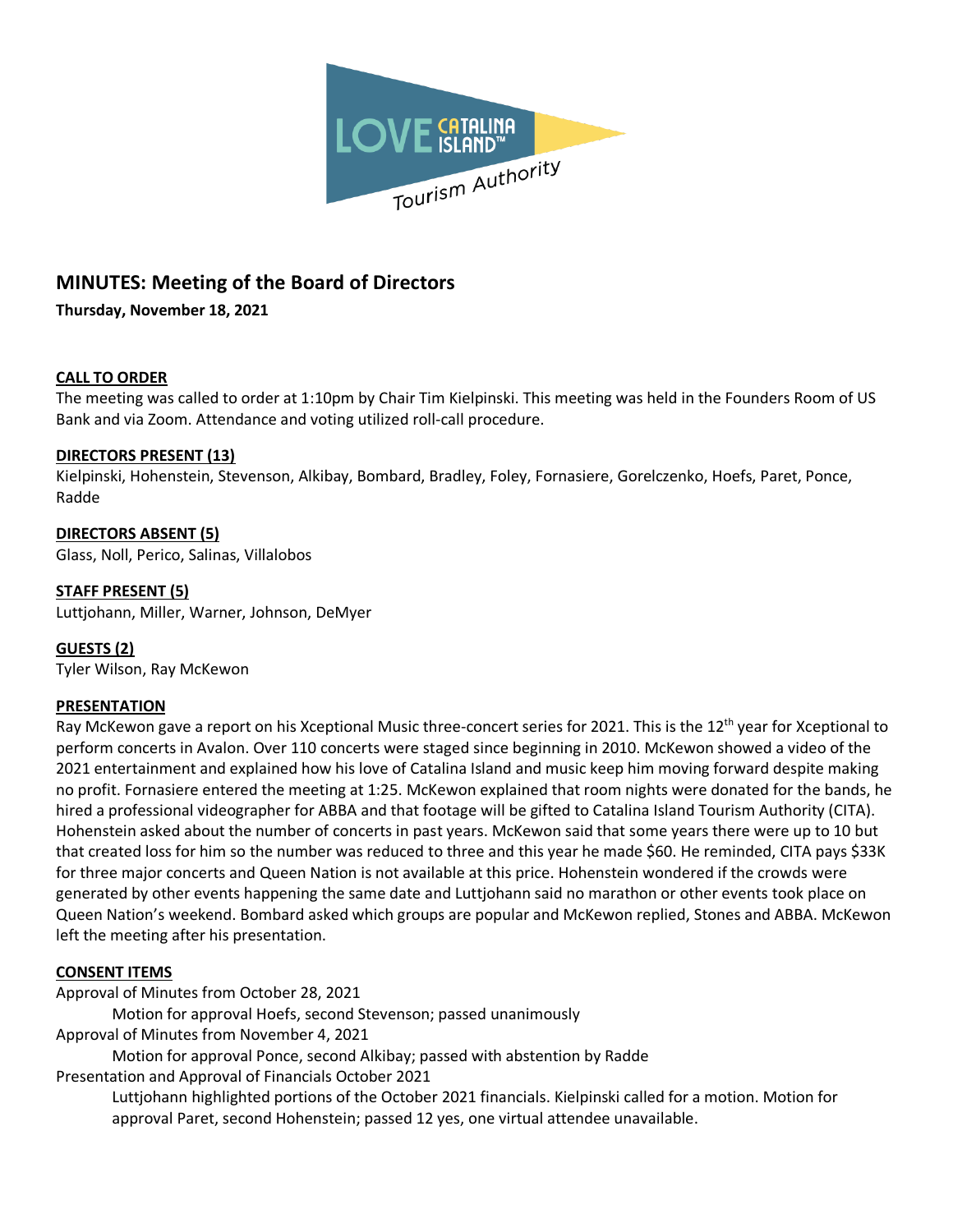

# **MINUTES: Meeting of the Board of Directors**

**Thursday, November 18, 2021**

# **CALL TO ORDER**

The meeting was called to order at 1:10pm by Chair Tim Kielpinski. This meeting was held in the Founders Room of US Bank and via Zoom. Attendance and voting utilized roll-call procedure.

# **DIRECTORS PRESENT (13)**

Kielpinski, Hohenstein, Stevenson, Alkibay, Bombard, Bradley, Foley, Fornasiere, Gorelczenko, Hoefs, Paret, Ponce, Radde

# **DIRECTORS ABSENT (5)**

Glass, Noll, Perico, Salinas, Villalobos

## **STAFF PRESENT (5)**

Luttjohann, Miller, Warner, Johnson, DeMyer

## **GUESTS (2)**

Tyler Wilson, Ray McKewon

## **PRESENTATION**

Ray McKewon gave a report on his Xceptional Music three-concert series for 2021. This is the 12<sup>th</sup> year for Xceptional to perform concerts in Avalon. Over 110 concerts were staged since beginning in 2010. McKewon showed a video of the 2021 entertainment and explained how his love of Catalina Island and music keep him moving forward despite making no profit. Fornasiere entered the meeting at 1:25. McKewon explained that room nights were donated for the bands, he hired a professional videographer for ABBA and that footage will be gifted to Catalina Island Tourism Authority (CITA). Hohenstein asked about the number of concerts in past years. McKewon said that some years there were up to 10 but that created loss for him so the number was reduced to three and this year he made \$60. He reminded, CITA pays \$33K for three major concerts and Queen Nation is not available at this price. Hohenstein wondered if the crowds were generated by other events happening the same date and Luttjohann said no marathon or other events took place on Queen Nation's weekend. Bombard asked which groups are popular and McKewon replied, Stones and ABBA. McKewon left the meeting after his presentation.

## **CONSENT ITEMS**

Approval of Minutes from October 28, 2021

Motion for approval Hoefs, second Stevenson; passed unanimously

Approval of Minutes from November 4, 2021

Motion for approval Ponce, second Alkibay; passed with abstention by Radde Presentation and Approval of Financials October 2021

Luttjohann highlighted portions of the October 2021 financials. Kielpinski called for a motion. Motion for approval Paret, second Hohenstein; passed 12 yes, one virtual attendee unavailable.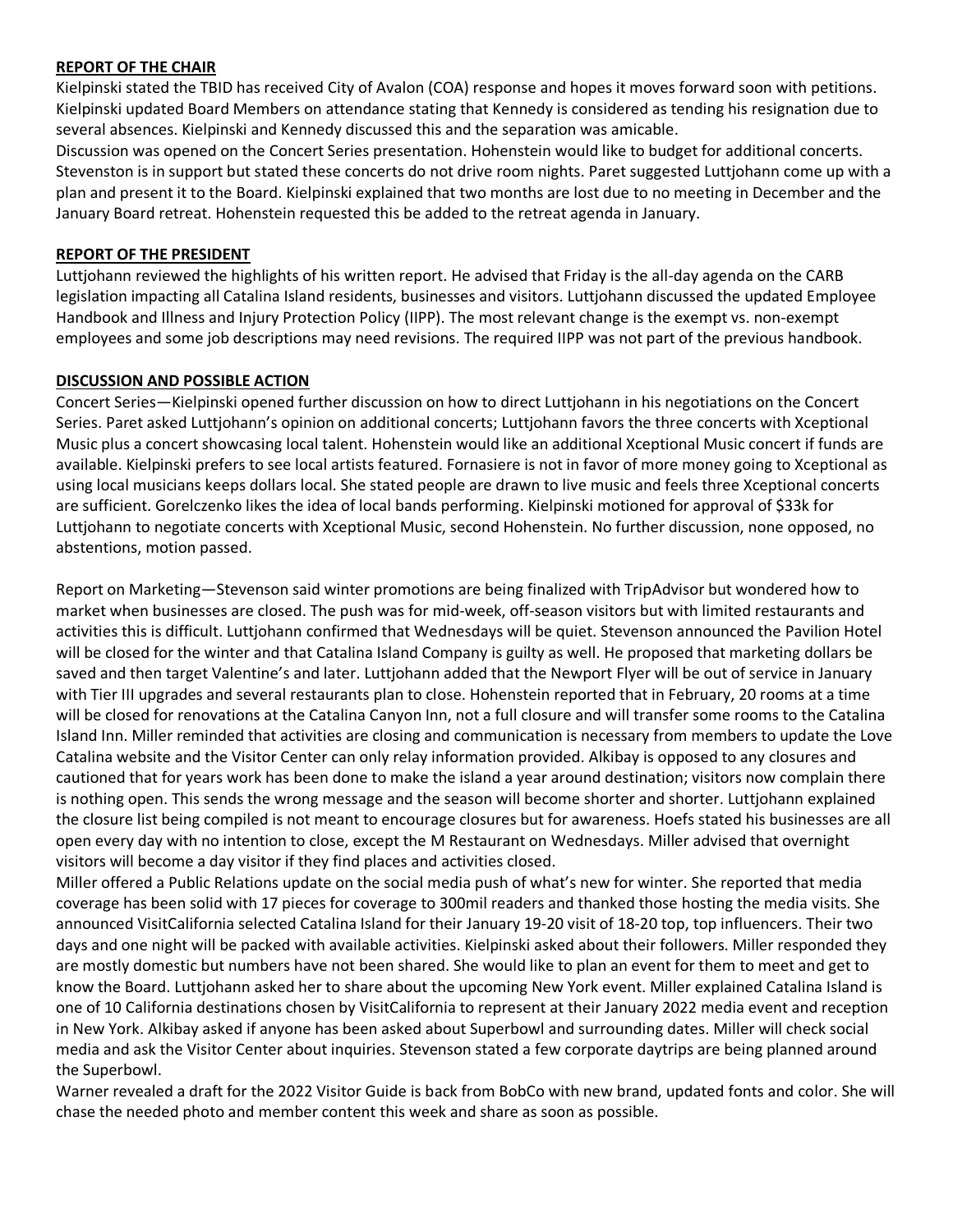#### **REPORT OF THE CHAIR**

Kielpinski stated the TBID has received City of Avalon (COA) response and hopes it moves forward soon with petitions. Kielpinski updated Board Members on attendance stating that Kennedy is considered as tending his resignation due to several absences. Kielpinski and Kennedy discussed this and the separation was amicable.

Discussion was opened on the Concert Series presentation. Hohenstein would like to budget for additional concerts. Stevenston is in support but stated these concerts do not drive room nights. Paret suggested Luttjohann come up with a plan and present it to the Board. Kielpinski explained that two months are lost due to no meeting in December and the January Board retreat. Hohenstein requested this be added to the retreat agenda in January.

#### **REPORT OF THE PRESIDENT**

Luttjohann reviewed the highlights of his written report. He advised that Friday is the all-day agenda on the CARB legislation impacting all Catalina Island residents, businesses and visitors. Luttjohann discussed the updated Employee Handbook and Illness and Injury Protection Policy (IIPP). The most relevant change is the exempt vs. non-exempt employees and some job descriptions may need revisions. The required IIPP was not part of the previous handbook.

## **DISCUSSION AND POSSIBLE ACTION**

Concert Series—Kielpinski opened further discussion on how to direct Luttjohann in his negotiations on the Concert Series. Paret asked Luttjohann's opinion on additional concerts; Luttjohann favors the three concerts with Xceptional Music plus a concert showcasing local talent. Hohenstein would like an additional Xceptional Music concert if funds are available. Kielpinski prefers to see local artists featured. Fornasiere is not in favor of more money going to Xceptional as using local musicians keeps dollars local. She stated people are drawn to live music and feels three Xceptional concerts are sufficient. Gorelczenko likes the idea of local bands performing. Kielpinski motioned for approval of \$33k for Luttjohann to negotiate concerts with Xceptional Music, second Hohenstein. No further discussion, none opposed, no abstentions, motion passed.

Report on Marketing—Stevenson said winter promotions are being finalized with TripAdvisor but wondered how to market when businesses are closed. The push was for mid-week, off-season visitors but with limited restaurants and activities this is difficult. Luttjohann confirmed that Wednesdays will be quiet. Stevenson announced the Pavilion Hotel will be closed for the winter and that Catalina Island Company is guilty as well. He proposed that marketing dollars be saved and then target Valentine's and later. Luttjohann added that the Newport Flyer will be out of service in January with Tier III upgrades and several restaurants plan to close. Hohenstein reported that in February, 20 rooms at a time will be closed for renovations at the Catalina Canyon Inn, not a full closure and will transfer some rooms to the Catalina Island Inn. Miller reminded that activities are closing and communication is necessary from members to update the Love Catalina website and the Visitor Center can only relay information provided. Alkibay is opposed to any closures and cautioned that for years work has been done to make the island a year around destination; visitors now complain there is nothing open. This sends the wrong message and the season will become shorter and shorter. Luttjohann explained the closure list being compiled is not meant to encourage closures but for awareness. Hoefs stated his businesses are all open every day with no intention to close, except the M Restaurant on Wednesdays. Miller advised that overnight visitors will become a day visitor if they find places and activities closed.

Miller offered a Public Relations update on the social media push of what's new for winter. She reported that media coverage has been solid with 17 pieces for coverage to 300mil readers and thanked those hosting the media visits. She announced VisitCalifornia selected Catalina Island for their January 19-20 visit of 18-20 top, top influencers. Their two days and one night will be packed with available activities. Kielpinski asked about their followers. Miller responded they are mostly domestic but numbers have not been shared. She would like to plan an event for them to meet and get to know the Board. Luttjohann asked her to share about the upcoming New York event. Miller explained Catalina Island is one of 10 California destinations chosen by VisitCalifornia to represent at their January 2022 media event and reception in New York. Alkibay asked if anyone has been asked about Superbowl and surrounding dates. Miller will check social media and ask the Visitor Center about inquiries. Stevenson stated a few corporate daytrips are being planned around the Superbowl.

Warner revealed a draft for the 2022 Visitor Guide is back from BobCo with new brand, updated fonts and color. She will chase the needed photo and member content this week and share as soon as possible.